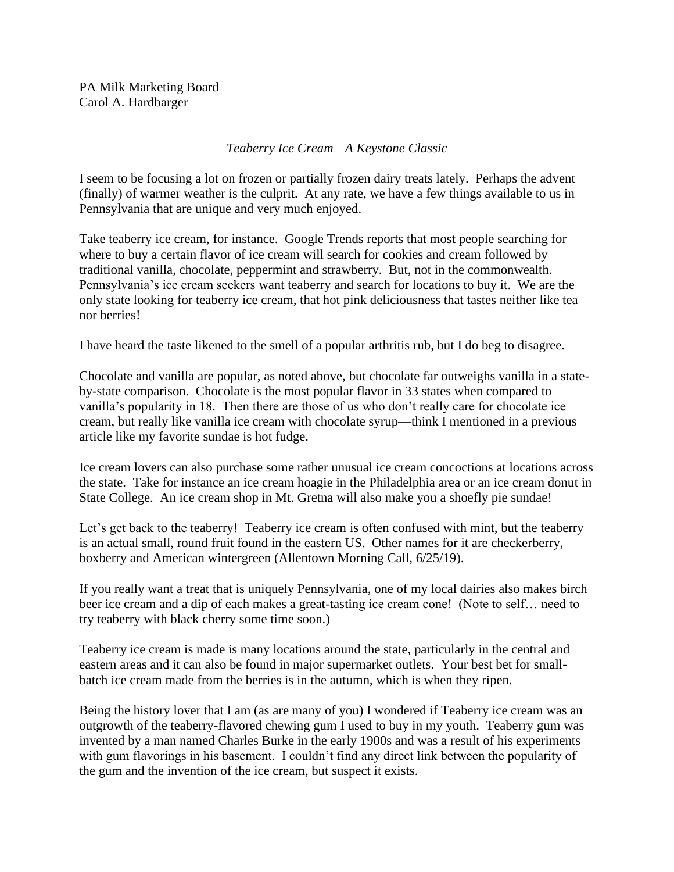PA Milk Marketing Board Carol A. Hardbarger

## *Teaberry Ice Cream—A Keystone Classic*

I seem to be focusing a lot on frozen or partially frozen dairy treats lately. Perhaps the advent (finally) of warmer weather is the culprit. At any rate, we have a few things available to us in Pennsylvania that are unique and very much enjoyed.

Take teaberry ice cream, for instance. Google Trends reports that most people searching for where to buy a certain flavor of ice cream will search for cookies and cream followed by traditional vanilla, chocolate, peppermint and strawberry. But, not in the commonwealth. Pennsylvania's ice cream seekers want teaberry and search for locations to buy it. We are the only state looking for teaberry ice cream, that hot pink deliciousness that tastes neither like tea nor berries!

I have heard the taste likened to the smell of a popular arthritis rub, but I do beg to disagree.

Chocolate and vanilla are popular, as noted above, but chocolate far outweighs vanilla in a stateby-state comparison. Chocolate is the most popular flavor in 33 states when compared to vanilla's popularity in 18. Then there are those of us who don't really care for chocolate ice cream, but really like vanilla ice cream with chocolate syrup—think I mentioned in a previous article like my favorite sundae is hot fudge.

Ice cream lovers can also purchase some rather unusual ice cream concoctions at locations across the state. Take for instance an ice cream hoagie in the Philadelphia area or an ice cream donut in State College. An ice cream shop in Mt. Gretna will also make you a shoefly pie sundae!

Let's get back to the teaberry! Teaberry ice cream is often confused with mint, but the teaberry is an actual small, round fruit found in the eastern US. Other names for it are checkerberry, boxberry and American wintergreen (Allentown Morning Call, 6/25/19).

If you really want a treat that is uniquely Pennsylvania, one of my local dairies also makes birch beer ice cream and a dip of each makes a great-tasting ice cream cone! (Note to self… need to try teaberry with black cherry some time soon.)

Teaberry ice cream is made is many locations around the state, particularly in the central and eastern areas and it can also be found in major supermarket outlets. Your best bet for smallbatch ice cream made from the berries is in the autumn, which is when they ripen.

Being the history lover that I am (as are many of you) I wondered if Teaberry ice cream was an outgrowth of the teaberry-flavored chewing gum I used to buy in my youth. Teaberry gum was invented by a man named Charles Burke in the early 1900s and was a result of his experiments with gum flavorings in his basement. I couldn't find any direct link between the popularity of the gum and the invention of the ice cream, but suspect it exists.